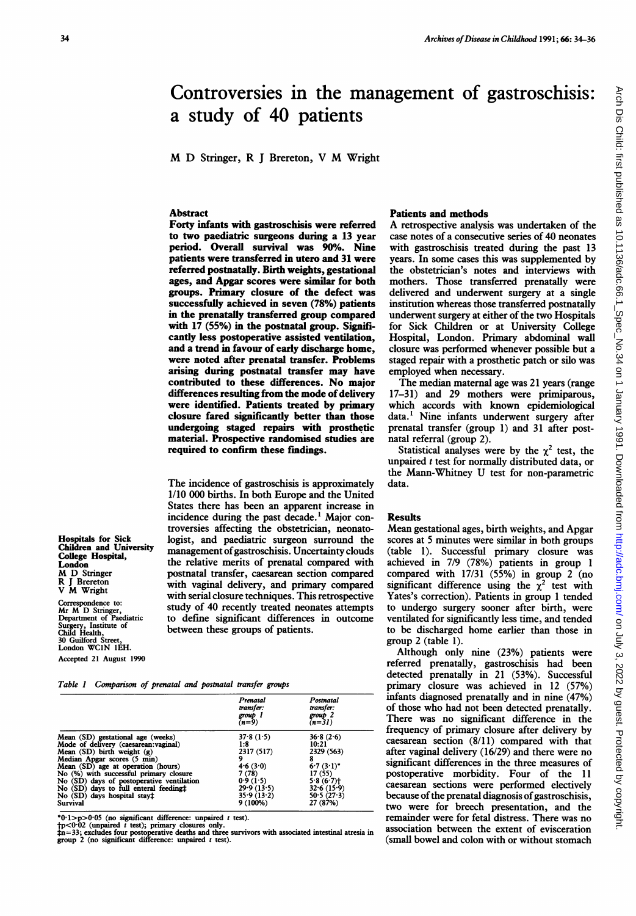# Controversies in the management of gastroschisis: a study of 40 patients

M D Stringer, R <sup>J</sup> Brereton, V M Wright

## Abstract

Forty infants with gastroschisis were referred to two paediatric surgeons during a 13 year period. Overall survival was 90%. Nine patients were transferred in utero and 31 were referred postnatally. Birth weights, gestational ages, and Apgar scores were similar for both groups. Primary closure of the defect was successfuliy achieved in seven (78%) patients in the prenataily transferred group compared with 17 (55%) in the postnatal group. Significantly less postoperative assisted ventilation, and a trend in favour of early discharge home, were noted after prenatal transfer. Problems arising during postnatal transfer may have contributed to these differences. No major differences resulting from the mode of delivery were identified. Patients treated by primary closure fared significantly better than those undergoing staged repairs with prosthetic material. Prospective randomised studies are required to confirm these fndings.

The incidence of gastroschisis is approximately 1/10 000 births. In both Europe and the United States there has been an apparent increase in incidence during the past decade.' Major controversies affecting the obstetrician, neonatologist, and paediatric surgeon surround the management of gastroschisis. Uncertainty clouds the relative merits of prenatal compared with postnatal transfer, caesarean section compared with vaginal delivery, and primary compared with serial closure techniques. This retrospective study of 40 recently treated neonates attempts to define significant differences in outcome between these groups of patients.

Hospitals for Sick Children and University College Hospital, London M D Stringer R <sup>J</sup> Brereton V M Wright

Correspondence to: Mr M D Stringer, Department of Paediatric Surgery, Institute of Child Health, 30 Guilford Street, London WC1N 1EH. Accepted 21 August 1990

Table <sup>I</sup> Comparison of prenatal and postnatal transfer groups

|                                           | Prenatal<br>transfer:<br>group 1<br>$(n=9)$ | Postnatal<br>transfer:<br>$_{group}$ 2<br>$(n=31)$ |  |
|-------------------------------------------|---------------------------------------------|----------------------------------------------------|--|
| Mean (SD) gestational age (weeks)         | 37.8(1.5)                                   | 36.8(2.6)                                          |  |
| Mode of delivery (caesarean: vaginal)     | 1:8                                         | 10:21                                              |  |
| Mean $(SD)$ birth weight $(g)$            | 2317 (517)                                  | 2329 (563)                                         |  |
| Median Apgar scores (5 min)               | 9                                           | 8                                                  |  |
| Mean (SD) age at operation (hours)        | 4.6(3.0)                                    | $6.7(3.1)$ *                                       |  |
| No (%) with successful primary closure    | 7 (78)                                      | 17(55)                                             |  |
| No (SD) days of postoperative ventilation | 0.9(1.5)                                    | 5.8(6.7)                                           |  |
| No (SD) days to full enteral feedingt     | 29.9(13.5)                                  | 32.6(15.9)                                         |  |
| No (SD) days hospital stay‡               | 35.9(13.2)                                  | 50.5(27.3)                                         |  |
| Survival                                  | $9(100\%)$                                  | 27 (87%)                                           |  |

\*0·1>p>0·05 (no significant difference: unpaired t test).<br>†p<0·02 (unpaired t test); primary closures only.<br>‡n=33; excludes four postoperative deaths and three survivors with associated intestinal atresia in<br>#n=33; exclude

### Patients and methods

A retrospective analysis was undertaken of the case notes of a consecutive series of 40 neonates with gastroschisis treated during the past 13 years. In some cases this was supplemented by the obstetrician's notes and interviews with mothers. Those transferred prenatally were delivered and underwent surgery at a single institution whereas those transferred postnatally underwent surgery at either of the two Hospitals for Sick Children or at University College Hospital, London. Primary abdominal wall closure was performed whenever possible but a staged repair with a prosthetic patch or silo was employed when necessary.

The median maternal age was 21 years (range 17-31) and 29 mothers were primiparous, which accords with known epidemiological data.' Nine infants underwent surgery after prenatal transfer (group 1) and 31 after postnatal referral (group 2).

Statistical analyses were by the  $\chi^2$  test, the unpaired <sup>t</sup> test for normally distributed data, or the Mann-Whitney U test for non-parametric data.

#### Results

Mean gestational ages, birth weights, and Apgar scores at 5 minutes were similar in both groups (table 1). Successful primary closure was achieved in 7/9 (78%) patients in group <sup>1</sup> compared with 17/31 (55%) in group 2 (no significant difference using the  $\chi^2$  test with Yates's correction). Patients in group <sup>1</sup> tended to undergo surgery sooner after birth, were ventilated for significantly less time, and tended to be discharged home earlier than those in group 2 (table 1).

Although only nine (23%) patients were referred prenatally, gastroschisis had been detected prenatally in 21 (53%). Successful primary closure was achieved in 12 (57%) infants diagnosed prenatally and in nine (47%) of those who had not been detected prenatally. There was no significant difference in the frequency of primary closure after delivery by caesarean section (8/11) compared with that after vaginal delivery (16/29) and there were no significant differences in the three measures of postoperative morbidity. Four of the 11 caesarean sections were performed electively because of the prenatal diagnosis of gastroschisis, two were for breech presentation, and the remainder were for fetal distress. There was no association between the extent of evisceration (small bowel and colon with or without stomach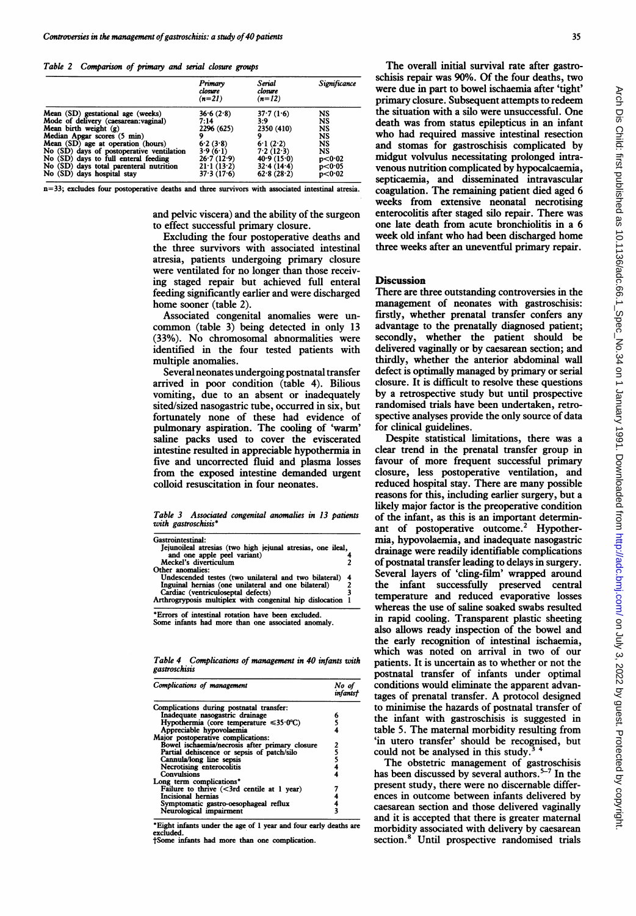Table 2 Comparison of primary and serial closure groups

|                                           | Primarv<br>closure<br>$(n=21)$ | Serial<br>closure<br>$(n=12)$ | Significance |
|-------------------------------------------|--------------------------------|-------------------------------|--------------|
| Mean (SD) gestational age (weeks)         | 36.6(2.8)                      | 37.7(1.6)                     | NS           |
| Mode of delivery (caesarean: vaginal)     | 7:14                           | 3:9                           | NS           |
| Mean birth weight (g)                     | 2296 (625)                     | 2350 (410)                    | NS           |
| Median Apgar scores (5 min)               | 9                              | 9                             | NS           |
| Mean (SD) age at operation (hours)        | 6.2(3.8)                       | 6.1(2.2)                      | NS           |
| No (SD) days of postoperative ventilation | 3.9(6.1)                       | 7.2(12.3)                     | NS           |
| No (SD) days to full enteral feeding      | 26.7(12.9)                     | 40.9(15.0)                    | p < 0.02     |
| No (SD) days total parenteral nutrition   | $21 \cdot 1 (13 \cdot 2)$      | 32.4(14.4)                    | p < 0.05     |
| No (SD) days hospital stay                | 37.3(17.6)                     | 62.8(28.2)                    | p < 0.02     |

n=33; excludes four postoperative deaths and three survivors with associated intestinal atresia.

and pelvic viscera) and the ability of the surgeon to effect successful primary closure.

Excluding the four postoperative deaths and the three survivors with associated intestinal atresia, patients undergoing primary closure were ventilated for no longer than those receiving staged repair but achieved full enteral feeding significantly earlier and were discharged home sooner (table 2).

Associated congenital anomalies were uncommon (table 3) being detected in only <sup>13</sup> (33%). No chromosomal abnormalities were identified in the four tested patients with multiple anomalies.

Several neonates undergoing postnatal transfer arrived in poor condition (table 4). Bilious vomiting, due to an absent or inadequately sited/sized nasogastric tube, occurred in six, but fortunately none of these had evidence of pulmonary aspiration. The cooling of 'warm' saline packs used to cover the eviscerated intestine resulted in appreciable hypothermia in five and uncorrected fluid and plasma losses from the exposed intestine demanded urgent colloid resuscitation in four neonates.

Table 3 Associated congenital anomalies in 13 patients with gastroschisis\*

| Gastrointestinal:<br>Jejunoileal atresias (two high jejunal atresias, one ileal, |  |
|----------------------------------------------------------------------------------|--|
| and one apple peel variant)                                                      |  |
| Meckel's diverticulum                                                            |  |
| Other anomalies:                                                                 |  |
| Undescended testes (two unilateral and two bilateral) 4                          |  |
| Inguinal hernias (one unilateral and one bilateral)                              |  |
| Cardiac (ventriculoseptal defects)                                               |  |
| Arthrogryposis multiplex with congenital hip dislocation 1                       |  |
| *Errors of intestinal rotation have been excluded.                               |  |

\*Errors of intestinal rotation have been excluded. Some infants had more than one associated anomaly.

Table 4 Complications of management in 40 infants with gastroschisis

| Complications of management                          | No of<br>infants† |  |
|------------------------------------------------------|-------------------|--|
| Complications during postnatal transfer:             |                   |  |
| Inadequate nasogastric drainage                      | 6                 |  |
| Hypothermia (core temperature $\leq 35.0^{\circ}$ C) |                   |  |
| Appreciable hypovolaemia                             |                   |  |
| Major postoperative complications:                   |                   |  |
| Bowel ischaemia/necrosis after primary closure       |                   |  |
| Partial dehiscence or sepsis of patch/silo           |                   |  |
| Cannula/long line sepsis                             |                   |  |
| Necrotising enterocolitis                            |                   |  |
| <b>Convulsions</b>                                   |                   |  |
| Long term complications*                             |                   |  |
| Failure to thrive $\left($ < 3rd centile at 1 year)  |                   |  |
| Incisional hernias                                   |                   |  |
| Symptomatic gastro-oesophageal reflux                |                   |  |
| Neurological impairment                              |                   |  |

\*Eight infants under the age of <sup>1</sup> year and four early deaths are

excluded. tSome infants had more than one complication.

The overall initial survival rate after gastroschisis repair was 90%. Of the four deaths, two were due in part to bowel ischaemia after 'tight' primary closure. Subsequent attempts to redeem the situation with a silo were unsuccessful. One death was from status epilepticus in an infant who had required massive intestinal resection and stomas for gastroschisis complicated by midgut volvulus necessitating prolonged intravenous nutrition complicated by hypocalcaemia, septicaemia, and disseminated intravascular coagulation. The remaining patient died aged 6 weeks from extensive neonatal necrotising enterocolitis after staged silo repair. There was one late death from acute bronchiolitis in a 6 week old infant who had been discharged home three weeks after an uneventful primary repair.

#### **Discussion**

There are three outstanding controversies in the management of neonates with gastroschisis: firstly, whether prenatal transfer confers any advantage to the prenatally diagnosed patient; secondly, whether the patient should be delivered vaginally or by caesarean section; and thirdly, whether the anterior abdominal wall defect is optimally managed by primary or serial closure. It is difficult to resolve these questions by a retrospective study but until prospective randomised trials have been undertaken, retrospective analyses provide the only source of data for clinical guidelines.

Despite statistical limitations, there was a clear trend in the prenatal transfer group in favour of more frequent successful primary closure, less postoperative ventilation, and reduced hospital stay. There are many possible reasons for this, including earlier surgery, but a likely major factor is the preoperative condition of the infant, as this is an important determinant of postoperative outcome.<sup>2</sup> Hypothermia, hypovolaemia, and inadequate nasogastric drainage were readily identifiable complications of postnatal transfer leading to delays in surgery. Several layers of 'cling-film' wrapped around the infant successfully preserved central temperature and reduced evaporative losses whereas the use of saline soaked swabs resulted in rapid cooling. Transparent plastic sheeting also allows ready inspection of the bowel and the early recognition of intestinal ischaemia, which was noted on arrival in two of our patients. It is uncertain as to whether or not the postnatal transfer of infants under optimal conditions would eliminate the apparent advantages of prenatal transfer. A protocol designed to minimise the hazards of postnatal transfer of the infant with gastroschisis is suggested in table 5. The maternal morbidity resulting from 'in utero transfer' should be recognised, but could not be analysed in this study.<sup>3</sup>

The obstetric management of gastroschisis has been discussed by several authors.<sup>5-7</sup> In the present study, there were no discernable differences in outcome between infants delivered by caesarean section and those delivered vaginally and it is accepted that there is greater maternal morbidity associated with delivery by caesarean section.<sup>8</sup> Until prospective randomised trials